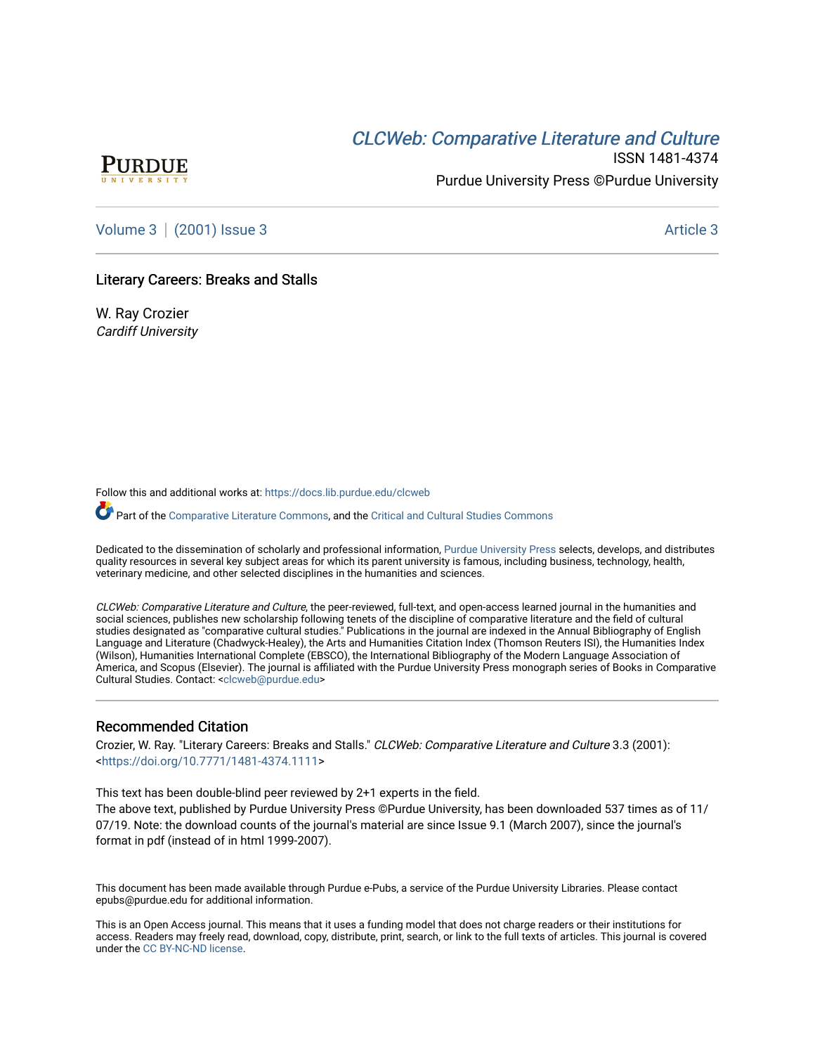# CLCW[eb: Comparative Liter](https://docs.lib.purdue.edu/clcweb)ature and Culture



ISSN 1481-4374 Purdue University Press ©Purdue University

[Volume 3](https://docs.lib.purdue.edu/clcweb/vol3) | [\(2001\) Issue 3](https://docs.lib.purdue.edu/clcweb/vol3/iss3) Article 3

### Literary Careers: Breaks and Stalls

W. Ray Crozier Cardiff University

Follow this and additional works at: [https://docs.lib.purdue.edu/clcweb](https://docs.lib.purdue.edu/clcweb?utm_source=docs.lib.purdue.edu%2Fclcweb%2Fvol3%2Fiss3%2F3&utm_medium=PDF&utm_campaign=PDFCoverPages)

Part of the [Comparative Literature Commons,](http://network.bepress.com/hgg/discipline/454?utm_source=docs.lib.purdue.edu%2Fclcweb%2Fvol3%2Fiss3%2F3&utm_medium=PDF&utm_campaign=PDFCoverPages) and the [Critical and Cultural Studies Commons](http://network.bepress.com/hgg/discipline/328?utm_source=docs.lib.purdue.edu%2Fclcweb%2Fvol3%2Fiss3%2F3&utm_medium=PDF&utm_campaign=PDFCoverPages) 

Dedicated to the dissemination of scholarly and professional information, [Purdue University Press](http://www.thepress.purdue.edu/) selects, develops, and distributes quality resources in several key subject areas for which its parent university is famous, including business, technology, health, veterinary medicine, and other selected disciplines in the humanities and sciences.

CLCWeb: Comparative Literature and Culture, the peer-reviewed, full-text, and open-access learned journal in the humanities and social sciences, publishes new scholarship following tenets of the discipline of comparative literature and the field of cultural studies designated as "comparative cultural studies." Publications in the journal are indexed in the Annual Bibliography of English Language and Literature (Chadwyck-Healey), the Arts and Humanities Citation Index (Thomson Reuters ISI), the Humanities Index (Wilson), Humanities International Complete (EBSCO), the International Bibliography of the Modern Language Association of America, and Scopus (Elsevier). The journal is affiliated with the Purdue University Press monograph series of Books in Comparative Cultural Studies. Contact: [<clcweb@purdue.edu](mailto:clcweb@purdue.edu)>

#### Recommended Citation

Crozier, W. Ray. "Literary Careers: Breaks and Stalls." CLCWeb: Comparative Literature and Culture 3.3 (2001): <<https://doi.org/10.7771/1481-4374.1111>>

This text has been double-blind peer reviewed by 2+1 experts in the field.

The above text, published by Purdue University Press ©Purdue University, has been downloaded 537 times as of 11/ 07/19. Note: the download counts of the journal's material are since Issue 9.1 (March 2007), since the journal's format in pdf (instead of in html 1999-2007).

This document has been made available through Purdue e-Pubs, a service of the Purdue University Libraries. Please contact epubs@purdue.edu for additional information.

This is an Open Access journal. This means that it uses a funding model that does not charge readers or their institutions for access. Readers may freely read, download, copy, distribute, print, search, or link to the full texts of articles. This journal is covered under the [CC BY-NC-ND license.](https://creativecommons.org/licenses/by-nc-nd/4.0/)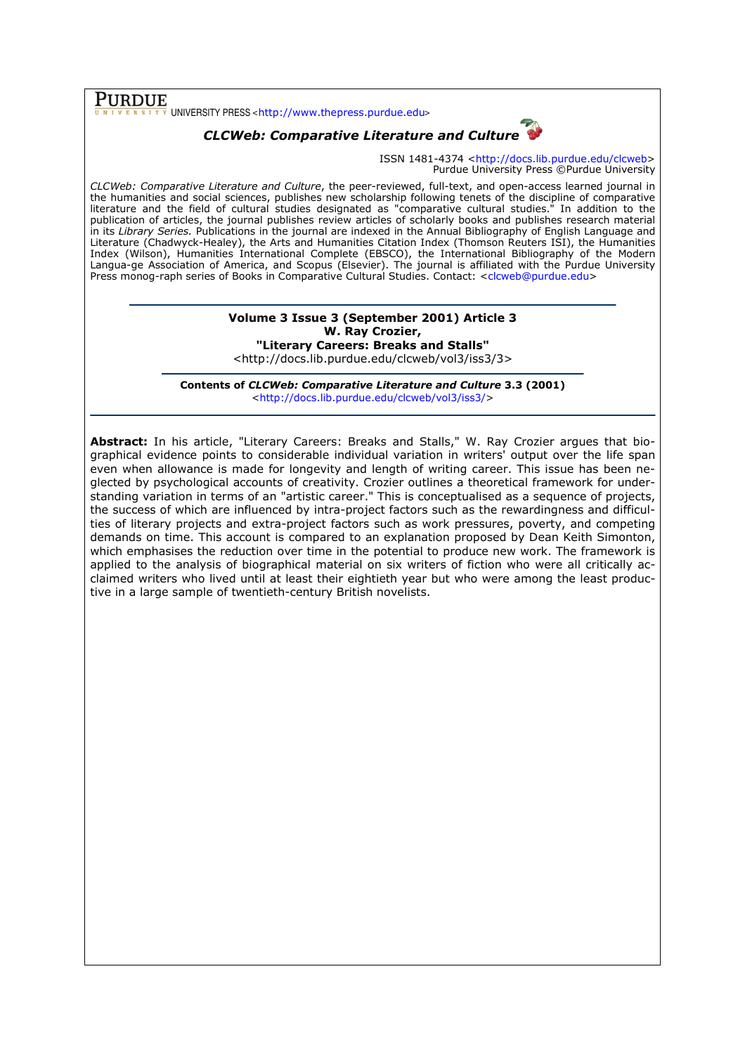$\overline{\text{PURDUE}}_{\frac{v}{v} \text{ NIV E R S I T V}}$ UNIVERSITY PRESS <http://www.thepress.purdue.edu>

# CLCWeb: Comparative Literature and Culture

ISSN 1481-4374 <http://docs.lib.purdue.edu/clcweb> Purdue University Press ©Purdue University

CLCWeb: Comparative Literature and Culture, the peer-reviewed, full-text, and open-access learned journal in the humanities and social sciences, publishes new scholarship following tenets of the discipline of comparative literature and the field of cultural studies designated as "comparative cultural studies." In addition to the publication of articles, the journal publishes review articles of scholarly books and publishes research material in its Library Series. Publications in the journal are indexed in the Annual Bibliography of English Language and Literature (Chadwyck-Healey), the Arts and Humanities Citation Index (Thomson Reuters ISI), the Humanities Index (Wilson), Humanities International Complete (EBSCO), the International Bibliography of the Modern Langua-ge Association of America, and Scopus (Elsevier). The journal is affiliated with the Purdue University Press monog-raph series of Books in Comparative Cultural Studies. Contact: <clcweb@purdue.edu>

## Volume 3 Issue 3 (September 2001) Article 3 W. Ray Crozier, "Literary Careers: Breaks and Stalls"

<http://docs.lib.purdue.edu/clcweb/vol3/iss3/3>

Contents of CLCWeb: Comparative Literature and Culture 3.3 (2001) <http://docs.lib.purdue.edu/clcweb/vol3/iss3/>

Abstract: In his article, "Literary Careers: Breaks and Stalls," W. Ray Crozier argues that biographical evidence points to considerable individual variation in writers' output over the life span even when allowance is made for longevity and length of writing career. This issue has been neglected by psychological accounts of creativity. Crozier outlines a theoretical framework for understanding variation in terms of an "artistic career." This is conceptualised as a sequence of projects, the success of which are influenced by intra-project factors such as the rewardingness and difficulties of literary projects and extra-project factors such as work pressures, poverty, and competing demands on time. This account is compared to an explanation proposed by Dean Keith Simonton, which emphasises the reduction over time in the potential to produce new work. The framework is applied to the analysis of biographical material on six writers of fiction who were all critically acclaimed writers who lived until at least their eightieth year but who were among the least productive in a large sample of twentieth-century British novelists.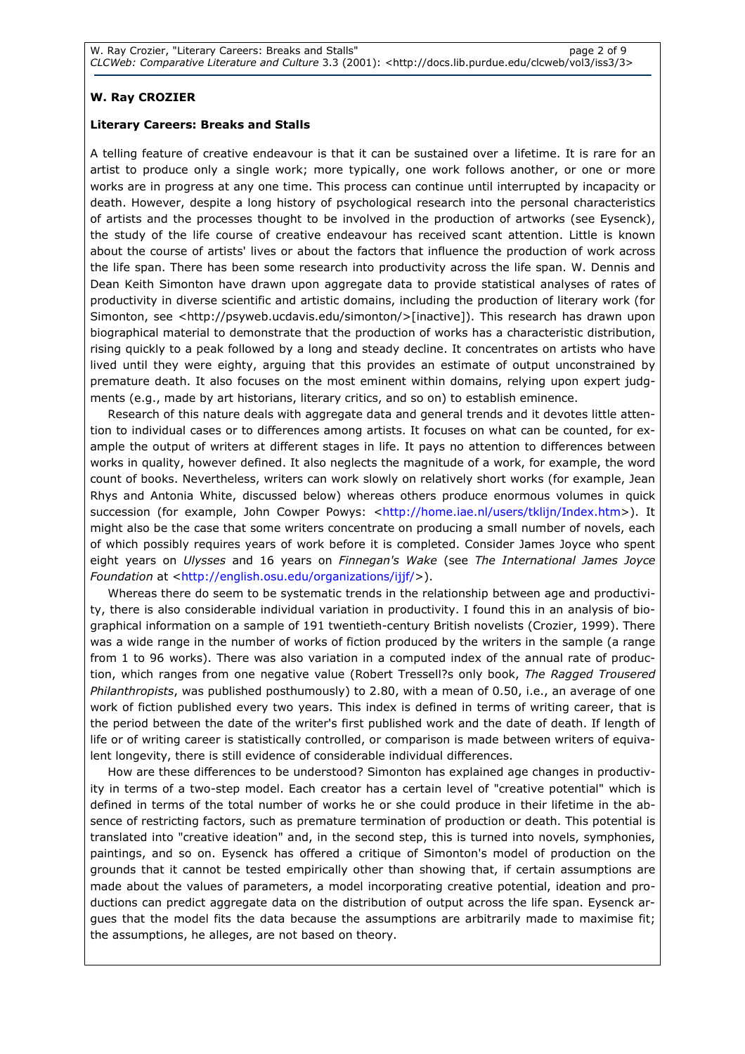## W. Ray CROZIER

#### Literary Careers: Breaks and Stalls

A telling feature of creative endeavour is that it can be sustained over a lifetime. It is rare for an artist to produce only a single work; more typically, one work follows another, or one or more works are in progress at any one time. This process can continue until interrupted by incapacity or death. However, despite a long history of psychological research into the personal characteristics of artists and the processes thought to be involved in the production of artworks (see Eysenck), the study of the life course of creative endeavour has received scant attention. Little is known about the course of artists' lives or about the factors that influence the production of work across the life span. There has been some research into productivity across the life span. W. Dennis and Dean Keith Simonton have drawn upon aggregate data to provide statistical analyses of rates of productivity in diverse scientific and artistic domains, including the production of literary work (for Simonton, see <http://psyweb.ucdavis.edu/simonton/>[inactive]). This research has drawn upon biographical material to demonstrate that the production of works has a characteristic distribution, rising quickly to a peak followed by a long and steady decline. It concentrates on artists who have lived until they were eighty, arguing that this provides an estimate of output unconstrained by premature death. It also focuses on the most eminent within domains, relying upon expert judgments (e.g., made by art historians, literary critics, and so on) to establish eminence.

Research of this nature deals with aggregate data and general trends and it devotes little attention to individual cases or to differences among artists. It focuses on what can be counted, for example the output of writers at different stages in life. It pays no attention to differences between works in quality, however defined. It also neglects the magnitude of a work, for example, the word count of books. Nevertheless, writers can work slowly on relatively short works (for example, Jean Rhys and Antonia White, discussed below) whereas others produce enormous volumes in quick succession (for example, John Cowper Powys: <http://home.iae.nl/users/tklijn/Index.htm>). It might also be the case that some writers concentrate on producing a small number of novels, each of which possibly requires years of work before it is completed. Consider James Joyce who spent eight years on Ulysses and 16 years on Finnegan's Wake (see The International James Joyce Foundation at <http://english.osu.edu/organizations/ijjf/>).

Whereas there do seem to be systematic trends in the relationship between age and productivity, there is also considerable individual variation in productivity. I found this in an analysis of biographical information on a sample of 191 twentieth-century British novelists (Crozier, 1999). There was a wide range in the number of works of fiction produced by the writers in the sample (a range from 1 to 96 works). There was also variation in a computed index of the annual rate of production, which ranges from one negative value (Robert Tressell?s only book, The Ragged Trousered Philanthropists, was published posthumously) to 2.80, with a mean of 0.50, i.e., an average of one work of fiction published every two years. This index is defined in terms of writing career, that is the period between the date of the writer's first published work and the date of death. If length of life or of writing career is statistically controlled, or comparison is made between writers of equivalent longevity, there is still evidence of considerable individual differences.

How are these differences to be understood? Simonton has explained age changes in productivity in terms of a two-step model. Each creator has a certain level of "creative potential" which is defined in terms of the total number of works he or she could produce in their lifetime in the absence of restricting factors, such as premature termination of production or death. This potential is translated into "creative ideation" and, in the second step, this is turned into novels, symphonies, paintings, and so on. Eysenck has offered a critique of Simonton's model of production on the grounds that it cannot be tested empirically other than showing that, if certain assumptions are made about the values of parameters, a model incorporating creative potential, ideation and productions can predict aggregate data on the distribution of output across the life span. Eysenck argues that the model fits the data because the assumptions are arbitrarily made to maximise fit; the assumptions, he alleges, are not based on theory.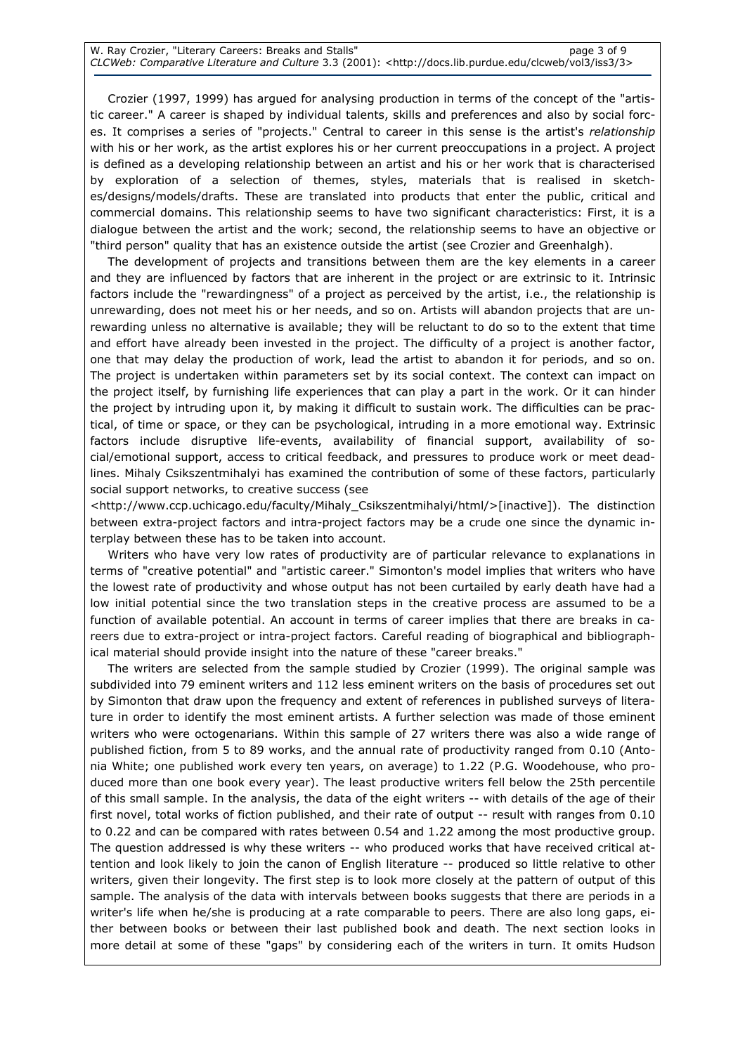Crozier (1997, 1999) has argued for analysing production in terms of the concept of the "artistic career." A career is shaped by individual talents, skills and preferences and also by social forces. It comprises a series of "projects." Central to career in this sense is the artist's relationship with his or her work, as the artist explores his or her current preoccupations in a project. A project is defined as a developing relationship between an artist and his or her work that is characterised by exploration of a selection of themes, styles, materials that is realised in sketches/designs/models/drafts. These are translated into products that enter the public, critical and commercial domains. This relationship seems to have two significant characteristics: First, it is a dialogue between the artist and the work; second, the relationship seems to have an objective or "third person" quality that has an existence outside the artist (see Crozier and Greenhalgh).

The development of projects and transitions between them are the key elements in a career and they are influenced by factors that are inherent in the project or are extrinsic to it. Intrinsic factors include the "rewardingness" of a project as perceived by the artist, i.e., the relationship is unrewarding, does not meet his or her needs, and so on. Artists will abandon projects that are unrewarding unless no alternative is available; they will be reluctant to do so to the extent that time and effort have already been invested in the project. The difficulty of a project is another factor, one that may delay the production of work, lead the artist to abandon it for periods, and so on. The project is undertaken within parameters set by its social context. The context can impact on the project itself, by furnishing life experiences that can play a part in the work. Or it can hinder the project by intruding upon it, by making it difficult to sustain work. The difficulties can be practical, of time or space, or they can be psychological, intruding in a more emotional way. Extrinsic factors include disruptive life-events, availability of financial support, availability of social/emotional support, access to critical feedback, and pressures to produce work or meet deadlines. Mihaly Csikszentmihalyi has examined the contribution of some of these factors, particularly social support networks, to creative success (see

<http://www.ccp.uchicago.edu/faculty/Mihaly\_Csikszentmihalyi/html/>[inactive]). The distinction between extra-project factors and intra-project factors may be a crude one since the dynamic interplay between these has to be taken into account.

Writers who have very low rates of productivity are of particular relevance to explanations in terms of "creative potential" and "artistic career." Simonton's model implies that writers who have the lowest rate of productivity and whose output has not been curtailed by early death have had a low initial potential since the two translation steps in the creative process are assumed to be a function of available potential. An account in terms of career implies that there are breaks in careers due to extra-project or intra-project factors. Careful reading of biographical and bibliographical material should provide insight into the nature of these "career breaks."

The writers are selected from the sample studied by Crozier (1999). The original sample was subdivided into 79 eminent writers and 112 less eminent writers on the basis of procedures set out by Simonton that draw upon the frequency and extent of references in published surveys of literature in order to identify the most eminent artists. A further selection was made of those eminent writers who were octogenarians. Within this sample of 27 writers there was also a wide range of published fiction, from 5 to 89 works, and the annual rate of productivity ranged from 0.10 (Antonia White; one published work every ten years, on average) to 1.22 (P.G. Woodehouse, who produced more than one book every year). The least productive writers fell below the 25th percentile of this small sample. In the analysis, the data of the eight writers -- with details of the age of their first novel, total works of fiction published, and their rate of output -- result with ranges from 0.10 to 0.22 and can be compared with rates between 0.54 and 1.22 among the most productive group. The question addressed is why these writers -- who produced works that have received critical attention and look likely to join the canon of English literature -- produced so little relative to other writers, given their longevity. The first step is to look more closely at the pattern of output of this sample. The analysis of the data with intervals between books suggests that there are periods in a writer's life when he/she is producing at a rate comparable to peers. There are also long gaps, either between books or between their last published book and death. The next section looks in more detail at some of these "gaps" by considering each of the writers in turn. It omits Hudson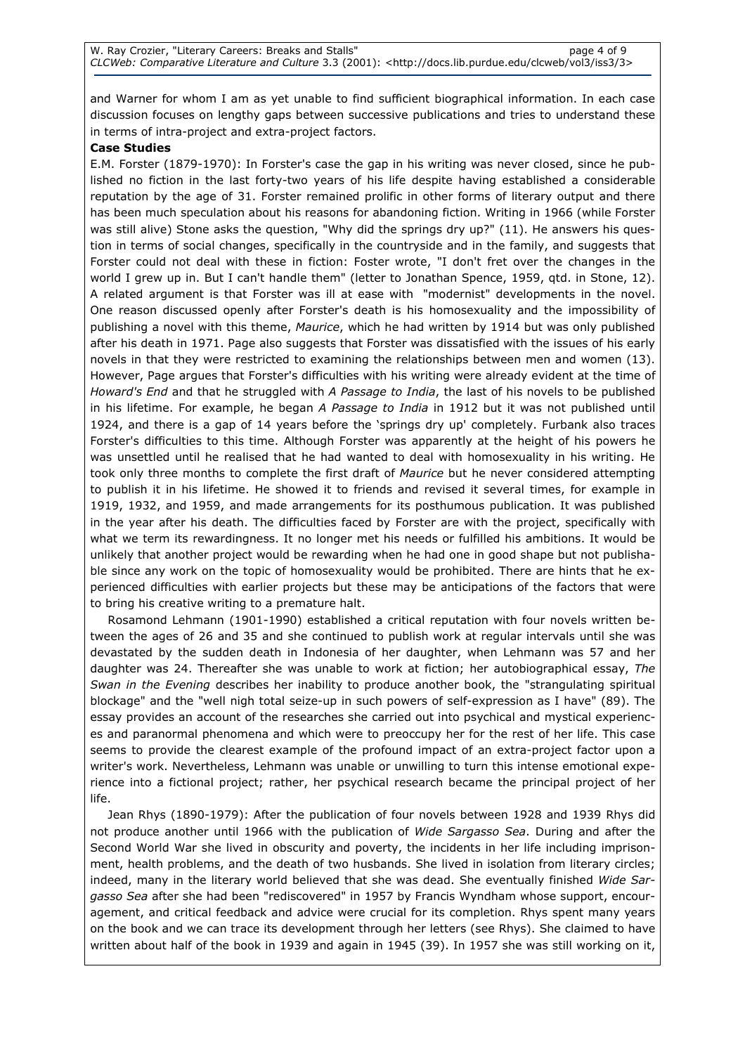and Warner for whom I am as yet unable to find sufficient biographical information. In each case discussion focuses on lengthy gaps between successive publications and tries to understand these in terms of intra-project and extra-project factors.

### Case Studies

E.M. Forster (1879-1970): In Forster's case the gap in his writing was never closed, since he published no fiction in the last forty-two years of his life despite having established a considerable reputation by the age of 31. Forster remained prolific in other forms of literary output and there has been much speculation about his reasons for abandoning fiction. Writing in 1966 (while Forster was still alive) Stone asks the question, "Why did the springs dry up?" (11). He answers his question in terms of social changes, specifically in the countryside and in the family, and suggests that Forster could not deal with these in fiction: Foster wrote, "I don't fret over the changes in the world I grew up in. But I can't handle them" (letter to Jonathan Spence, 1959, qtd. in Stone, 12). A related argument is that Forster was ill at ease with "modernist" developments in the novel. One reason discussed openly after Forster's death is his homosexuality and the impossibility of publishing a novel with this theme, Maurice, which he had written by 1914 but was only published after his death in 1971. Page also suggests that Forster was dissatisfied with the issues of his early novels in that they were restricted to examining the relationships between men and women (13). However, Page argues that Forster's difficulties with his writing were already evident at the time of Howard's End and that he struggled with A Passage to India, the last of his novels to be published in his lifetime. For example, he began A Passage to India in 1912 but it was not published until 1924, and there is a gap of 14 years before the 'springs dry up' completely. Furbank also traces Forster's difficulties to this time. Although Forster was apparently at the height of his powers he was unsettled until he realised that he had wanted to deal with homosexuality in his writing. He took only three months to complete the first draft of Maurice but he never considered attempting to publish it in his lifetime. He showed it to friends and revised it several times, for example in 1919, 1932, and 1959, and made arrangements for its posthumous publication. It was published in the year after his death. The difficulties faced by Forster are with the project, specifically with what we term its rewardingness. It no longer met his needs or fulfilled his ambitions. It would be unlikely that another project would be rewarding when he had one in good shape but not publishable since any work on the topic of homosexuality would be prohibited. There are hints that he experienced difficulties with earlier projects but these may be anticipations of the factors that were to bring his creative writing to a premature halt.

Rosamond Lehmann (1901-1990) established a critical reputation with four novels written between the ages of 26 and 35 and she continued to publish work at regular intervals until she was devastated by the sudden death in Indonesia of her daughter, when Lehmann was 57 and her daughter was 24. Thereafter she was unable to work at fiction; her autobiographical essay, The Swan in the Evening describes her inability to produce another book, the "strangulating spiritual blockage" and the "well nigh total seize-up in such powers of self-expression as I have" (89). The essay provides an account of the researches she carried out into psychical and mystical experiences and paranormal phenomena and which were to preoccupy her for the rest of her life. This case seems to provide the clearest example of the profound impact of an extra-project factor upon a writer's work. Nevertheless, Lehmann was unable or unwilling to turn this intense emotional experience into a fictional project; rather, her psychical research became the principal project of her life.

Jean Rhys (1890-1979): After the publication of four novels between 1928 and 1939 Rhys did not produce another until 1966 with the publication of Wide Sargasso Sea. During and after the Second World War she lived in obscurity and poverty, the incidents in her life including imprisonment, health problems, and the death of two husbands. She lived in isolation from literary circles; indeed, many in the literary world believed that she was dead. She eventually finished Wide Sargasso Sea after she had been "rediscovered" in 1957 by Francis Wyndham whose support, encouragement, and critical feedback and advice were crucial for its completion. Rhys spent many years on the book and we can trace its development through her letters (see Rhys). She claimed to have written about half of the book in 1939 and again in 1945 (39). In 1957 she was still working on it,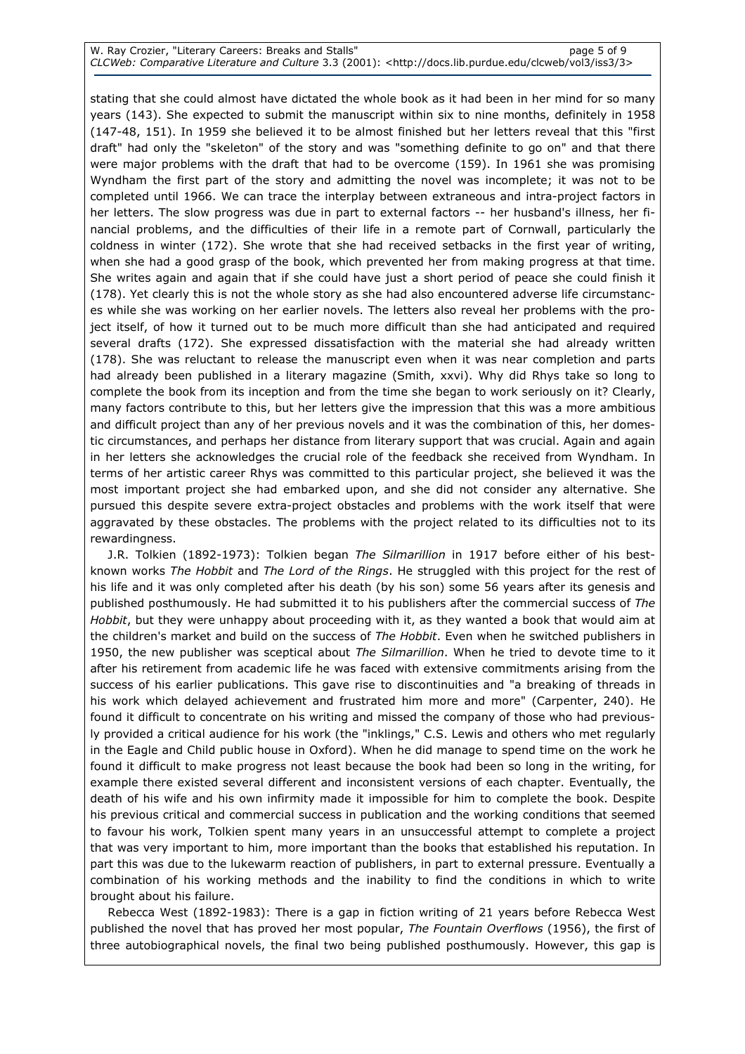stating that she could almost have dictated the whole book as it had been in her mind for so many years (143). She expected to submit the manuscript within six to nine months, definitely in 1958 (147-48, 151). In 1959 she believed it to be almost finished but her letters reveal that this "first draft" had only the "skeleton" of the story and was "something definite to go on" and that there were major problems with the draft that had to be overcome (159). In 1961 she was promising Wyndham the first part of the story and admitting the novel was incomplete; it was not to be completed until 1966. We can trace the interplay between extraneous and intra-project factors in her letters. The slow progress was due in part to external factors -- her husband's illness, her financial problems, and the difficulties of their life in a remote part of Cornwall, particularly the coldness in winter (172). She wrote that she had received setbacks in the first year of writing, when she had a good grasp of the book, which prevented her from making progress at that time. She writes again and again that if she could have just a short period of peace she could finish it (178). Yet clearly this is not the whole story as she had also encountered adverse life circumstances while she was working on her earlier novels. The letters also reveal her problems with the project itself, of how it turned out to be much more difficult than she had anticipated and required several drafts (172). She expressed dissatisfaction with the material she had already written (178). She was reluctant to release the manuscript even when it was near completion and parts had already been published in a literary magazine (Smith, xxvi). Why did Rhys take so long to complete the book from its inception and from the time she began to work seriously on it? Clearly, many factors contribute to this, but her letters give the impression that this was a more ambitious and difficult project than any of her previous novels and it was the combination of this, her domestic circumstances, and perhaps her distance from literary support that was crucial. Again and again in her letters she acknowledges the crucial role of the feedback she received from Wyndham. In terms of her artistic career Rhys was committed to this particular project, she believed it was the most important project she had embarked upon, and she did not consider any alternative. She pursued this despite severe extra-project obstacles and problems with the work itself that were aggravated by these obstacles. The problems with the project related to its difficulties not to its rewardingness.

J.R. Tolkien (1892-1973): Tolkien began The Silmarillion in 1917 before either of his bestknown works The Hobbit and The Lord of the Rings. He struggled with this project for the rest of his life and it was only completed after his death (by his son) some 56 years after its genesis and published posthumously. He had submitted it to his publishers after the commercial success of The Hobbit, but they were unhappy about proceeding with it, as they wanted a book that would aim at the children's market and build on the success of The Hobbit. Even when he switched publishers in 1950, the new publisher was sceptical about The Silmarillion. When he tried to devote time to it after his retirement from academic life he was faced with extensive commitments arising from the success of his earlier publications. This gave rise to discontinuities and "a breaking of threads in his work which delayed achievement and frustrated him more and more" (Carpenter, 240). He found it difficult to concentrate on his writing and missed the company of those who had previously provided a critical audience for his work (the "inklings," C.S. Lewis and others who met regularly in the Eagle and Child public house in Oxford). When he did manage to spend time on the work he found it difficult to make progress not least because the book had been so long in the writing, for example there existed several different and inconsistent versions of each chapter. Eventually, the death of his wife and his own infirmity made it impossible for him to complete the book. Despite his previous critical and commercial success in publication and the working conditions that seemed to favour his work, Tolkien spent many years in an unsuccessful attempt to complete a project that was very important to him, more important than the books that established his reputation. In part this was due to the lukewarm reaction of publishers, in part to external pressure. Eventually a combination of his working methods and the inability to find the conditions in which to write brought about his failure.

Rebecca West (1892-1983): There is a gap in fiction writing of 21 years before Rebecca West published the novel that has proved her most popular, The Fountain Overflows (1956), the first of three autobiographical novels, the final two being published posthumously. However, this gap is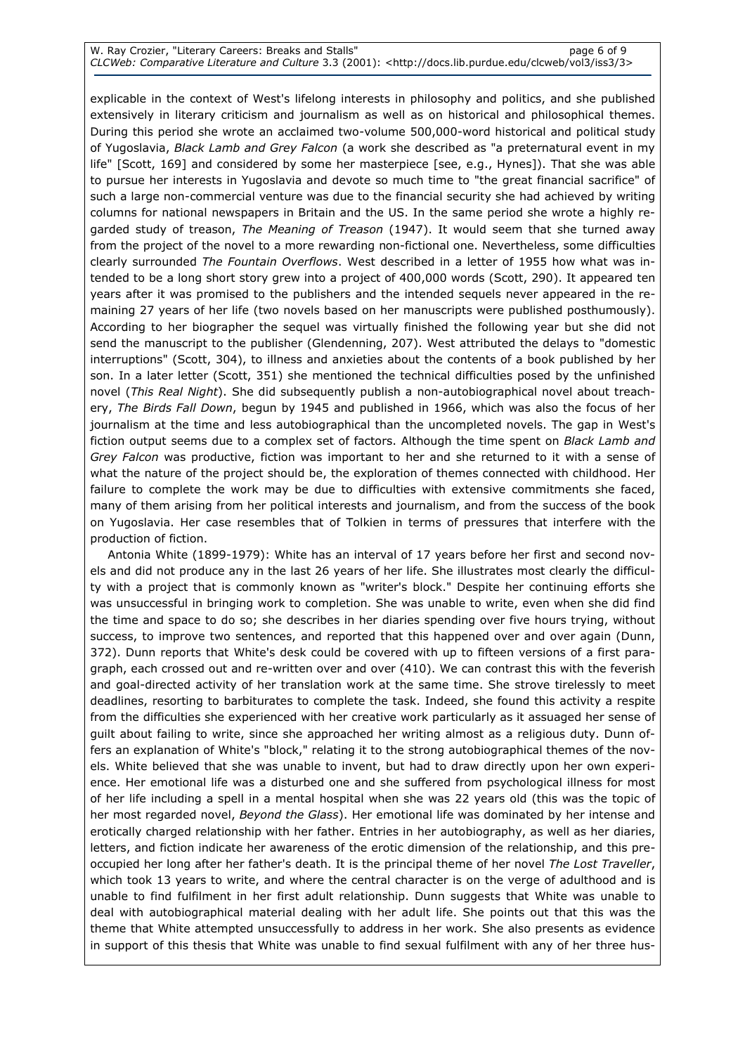explicable in the context of West's lifelong interests in philosophy and politics, and she published extensively in literary criticism and journalism as well as on historical and philosophical themes. During this period she wrote an acclaimed two-volume 500,000-word historical and political study of Yugoslavia, Black Lamb and Grey Falcon (a work she described as "a preternatural event in my life" [Scott, 169] and considered by some her masterpiece [see, e.g., Hynes]). That she was able to pursue her interests in Yugoslavia and devote so much time to "the great financial sacrifice" of such a large non-commercial venture was due to the financial security she had achieved by writing columns for national newspapers in Britain and the US. In the same period she wrote a highly regarded study of treason, The Meaning of Treason (1947). It would seem that she turned away from the project of the novel to a more rewarding non-fictional one. Nevertheless, some difficulties clearly surrounded The Fountain Overflows. West described in a letter of 1955 how what was intended to be a long short story grew into a project of 400,000 words (Scott, 290). It appeared ten years after it was promised to the publishers and the intended sequels never appeared in the remaining 27 years of her life (two novels based on her manuscripts were published posthumously). According to her biographer the sequel was virtually finished the following year but she did not send the manuscript to the publisher (Glendenning, 207). West attributed the delays to "domestic interruptions" (Scott, 304), to illness and anxieties about the contents of a book published by her son. In a later letter (Scott, 351) she mentioned the technical difficulties posed by the unfinished novel (This Real Night). She did subsequently publish a non-autobiographical novel about treachery, The Birds Fall Down, begun by 1945 and published in 1966, which was also the focus of her journalism at the time and less autobiographical than the uncompleted novels. The gap in West's fiction output seems due to a complex set of factors. Although the time spent on Black Lamb and Grey Falcon was productive, fiction was important to her and she returned to it with a sense of what the nature of the project should be, the exploration of themes connected with childhood. Her failure to complete the work may be due to difficulties with extensive commitments she faced, many of them arising from her political interests and journalism, and from the success of the book on Yugoslavia. Her case resembles that of Tolkien in terms of pressures that interfere with the production of fiction.

Antonia White (1899-1979): White has an interval of 17 years before her first and second novels and did not produce any in the last 26 years of her life. She illustrates most clearly the difficulty with a project that is commonly known as "writer's block." Despite her continuing efforts she was unsuccessful in bringing work to completion. She was unable to write, even when she did find the time and space to do so; she describes in her diaries spending over five hours trying, without success, to improve two sentences, and reported that this happened over and over again (Dunn, 372). Dunn reports that White's desk could be covered with up to fifteen versions of a first paragraph, each crossed out and re-written over and over (410). We can contrast this with the feverish and goal-directed activity of her translation work at the same time. She strove tirelessly to meet deadlines, resorting to barbiturates to complete the task. Indeed, she found this activity a respite from the difficulties she experienced with her creative work particularly as it assuaged her sense of guilt about failing to write, since she approached her writing almost as a religious duty. Dunn offers an explanation of White's "block," relating it to the strong autobiographical themes of the novels. White believed that she was unable to invent, but had to draw directly upon her own experience. Her emotional life was a disturbed one and she suffered from psychological illness for most of her life including a spell in a mental hospital when she was 22 years old (this was the topic of her most regarded novel, Beyond the Glass). Her emotional life was dominated by her intense and erotically charged relationship with her father. Entries in her autobiography, as well as her diaries, letters, and fiction indicate her awareness of the erotic dimension of the relationship, and this preoccupied her long after her father's death. It is the principal theme of her novel The Lost Traveller, which took 13 years to write, and where the central character is on the verge of adulthood and is unable to find fulfilment in her first adult relationship. Dunn suggests that White was unable to deal with autobiographical material dealing with her adult life. She points out that this was the theme that White attempted unsuccessfully to address in her work. She also presents as evidence in support of this thesis that White was unable to find sexual fulfilment with any of her three hus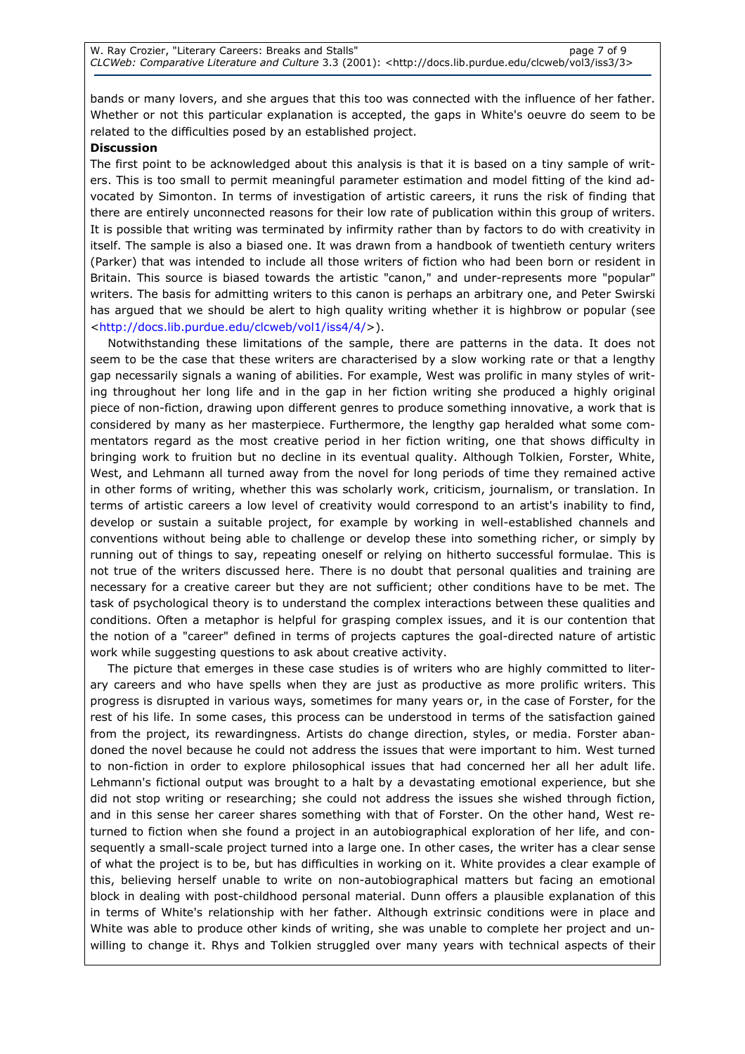bands or many lovers, and she argues that this too was connected with the influence of her father. Whether or not this particular explanation is accepted, the gaps in White's oeuvre do seem to be related to the difficulties posed by an established project.

#### **Discussion**

The first point to be acknowledged about this analysis is that it is based on a tiny sample of writers. This is too small to permit meaningful parameter estimation and model fitting of the kind advocated by Simonton. In terms of investigation of artistic careers, it runs the risk of finding that there are entirely unconnected reasons for their low rate of publication within this group of writers. It is possible that writing was terminated by infirmity rather than by factors to do with creativity in itself. The sample is also a biased one. It was drawn from a handbook of twentieth century writers (Parker) that was intended to include all those writers of fiction who had been born or resident in Britain. This source is biased towards the artistic "canon," and under-represents more "popular" writers. The basis for admitting writers to this canon is perhaps an arbitrary one, and Peter Swirski has argued that we should be alert to high quality writing whether it is highbrow or popular (see <http://docs.lib.purdue.edu/clcweb/vol1/iss4/4/>).

Notwithstanding these limitations of the sample, there are patterns in the data. It does not seem to be the case that these writers are characterised by a slow working rate or that a lengthy gap necessarily signals a waning of abilities. For example, West was prolific in many styles of writing throughout her long life and in the gap in her fiction writing she produced a highly original piece of non-fiction, drawing upon different genres to produce something innovative, a work that is considered by many as her masterpiece. Furthermore, the lengthy gap heralded what some commentators regard as the most creative period in her fiction writing, one that shows difficulty in bringing work to fruition but no decline in its eventual quality. Although Tolkien, Forster, White, West, and Lehmann all turned away from the novel for long periods of time they remained active in other forms of writing, whether this was scholarly work, criticism, journalism, or translation. In terms of artistic careers a low level of creativity would correspond to an artist's inability to find, develop or sustain a suitable project, for example by working in well-established channels and conventions without being able to challenge or develop these into something richer, or simply by running out of things to say, repeating oneself or relying on hitherto successful formulae. This is not true of the writers discussed here. There is no doubt that personal qualities and training are necessary for a creative career but they are not sufficient; other conditions have to be met. The task of psychological theory is to understand the complex interactions between these qualities and conditions. Often a metaphor is helpful for grasping complex issues, and it is our contention that the notion of a "career" defined in terms of projects captures the goal-directed nature of artistic work while suggesting questions to ask about creative activity.

The picture that emerges in these case studies is of writers who are highly committed to literary careers and who have spells when they are just as productive as more prolific writers. This progress is disrupted in various ways, sometimes for many years or, in the case of Forster, for the rest of his life. In some cases, this process can be understood in terms of the satisfaction gained from the project, its rewardingness. Artists do change direction, styles, or media. Forster abandoned the novel because he could not address the issues that were important to him. West turned to non-fiction in order to explore philosophical issues that had concerned her all her adult life. Lehmann's fictional output was brought to a halt by a devastating emotional experience, but she did not stop writing or researching; she could not address the issues she wished through fiction, and in this sense her career shares something with that of Forster. On the other hand, West returned to fiction when she found a project in an autobiographical exploration of her life, and consequently a small-scale project turned into a large one. In other cases, the writer has a clear sense of what the project is to be, but has difficulties in working on it. White provides a clear example of this, believing herself unable to write on non-autobiographical matters but facing an emotional block in dealing with post-childhood personal material. Dunn offers a plausible explanation of this in terms of White's relationship with her father. Although extrinsic conditions were in place and White was able to produce other kinds of writing, she was unable to complete her project and unwilling to change it. Rhys and Tolkien struggled over many years with technical aspects of their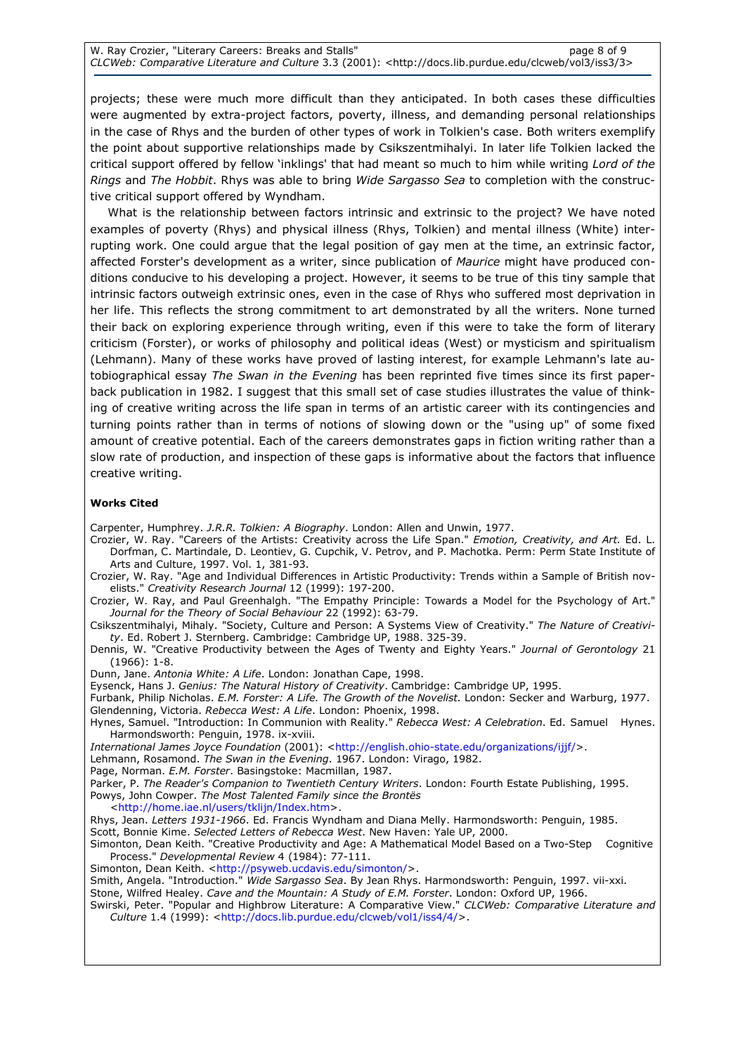projects; these were much more difficult than they anticipated. In both cases these difficulties were augmented by extra-project factors, poverty, illness, and demanding personal relationships in the case of Rhys and the burden of other types of work in Tolkien's case. Both writers exemplify the point about supportive relationships made by Csikszentmihalyi. In later life Tolkien lacked the critical support offered by fellow 'inklings' that had meant so much to him while writing Lord of the Rings and The Hobbit. Rhys was able to bring Wide Sargasso Sea to completion with the constructive critical support offered by Wyndham.

What is the relationship between factors intrinsic and extrinsic to the project? We have noted examples of poverty (Rhys) and physical illness (Rhys, Tolkien) and mental illness (White) interrupting work. One could argue that the legal position of gay men at the time, an extrinsic factor, affected Forster's development as a writer, since publication of Maurice might have produced conditions conducive to his developing a project. However, it seems to be true of this tiny sample that intrinsic factors outweigh extrinsic ones, even in the case of Rhys who suffered most deprivation in her life. This reflects the strong commitment to art demonstrated by all the writers. None turned their back on exploring experience through writing, even if this were to take the form of literary criticism (Forster), or works of philosophy and political ideas (West) or mysticism and spiritualism (Lehmann). Many of these works have proved of lasting interest, for example Lehmann's late autobiographical essay The Swan in the Evening has been reprinted five times since its first paperback publication in 1982. I suggest that this small set of case studies illustrates the value of thinking of creative writing across the life span in terms of an artistic career with its contingencies and turning points rather than in terms of notions of slowing down or the "using up" of some fixed amount of creative potential. Each of the careers demonstrates gaps in fiction writing rather than a slow rate of production, and inspection of these gaps is informative about the factors that influence creative writing.

#### Works Cited

Carpenter, Humphrey. J.R.R. Tolkien: A Biography. London: Allen and Unwin, 1977.

- Crozier, W. Ray. "Careers of the Artists: Creativity across the Life Span." Emotion, Creativity, and Art. Ed. L. Dorfman, C. Martindale, D. Leontiev, G. Cupchik, V. Petrov, and P. Machotka. Perm: Perm State Institute of Arts and Culture, 1997. Vol. 1, 381-93.
- Crozier, W. Ray. "Age and Individual Differences in Artistic Productivity: Trends within a Sample of British novelists." Creativity Research Journal 12 (1999): 197-200.
- Crozier, W. Ray, and Paul Greenhalgh. "The Empathy Principle: Towards a Model for the Psychology of Art." Journal for the Theory of Social Behaviour 22 (1992): 63-79.
- Csikszentmihalyi, Mihaly. "Society, Culture and Person: A Systems View of Creativity." The Nature of Creativity. Ed. Robert J. Sternberg. Cambridge: Cambridge UP, 1988. 325-39.
- Dennis, W. "Creative Productivity between the Ages of Twenty and Eighty Years." Journal of Gerontology 21 (1966): 1-8.

Dunn, Jane. Antonia White: A Life. London: Jonathan Cape, 1998.

Eysenck, Hans J. Genius: The Natural History of Creativity. Cambridge: Cambridge UP, 1995.

Furbank, Philip Nicholas. E.M. Forster: A Life. The Growth of the Novelist. London: Secker and Warburg, 1977. Glendenning, Victoria. Rebecca West: A Life. London: Phoenix, 1998.

Hynes, Samuel. "Introduction: In Communion with Reality." Rebecca West: A Celebration. Ed. Samuel Hynes. Harmondsworth: Penguin, 1978. ix-xviii.

International James Joyce Foundation (2001): <http://english.ohio-state.edu/organizations/ijjf/>.

Lehmann, Rosamond. The Swan in the Evening. 1967. London: Virago, 1982.

- Page, Norman. E.M. Forster. Basingstoke: Macmillan, 1987.
- Parker, P. The Reader's Companion to Twentieth Century Writers. London: Fourth Estate Publishing, 1995. Powys, John Cowper. The Most Talented Family since the Brontës

<http://home.iae.nl/users/tklijn/Index.htm>.

Rhys, Jean. Letters 1931-1966. Ed. Francis Wyndham and Diana Melly. Harmondsworth: Penguin, 1985.

Scott, Bonnie Kime. Selected Letters of Rebecca West. New Haven: Yale UP, 2000.

Simonton, Dean Keith. "Creative Productivity and Age: A Mathematical Model Based on a Two-Step Cognitive Process." Developmental Review 4 (1984): 77-111.

Simonton, Dean Keith. <http://psyweb.ucdavis.edu/simonton/>.

Smith, Angela. "Introduction." Wide Sargasso Sea. By Jean Rhys. Harmondsworth: Penguin, 1997. vii-xxi.

Stone, Wilfred Healey. Cave and the Mountain: A Study of E.M. Forster. London: Oxford UP, 1966.

Swirski, Peter. "Popular and Highbrow Literature: A Comparative View." CLCWeb: Comparative Literature and Culture 1.4 (1999): <http://docs.lib.purdue.edu/clcweb/vol1/iss4/4/>.